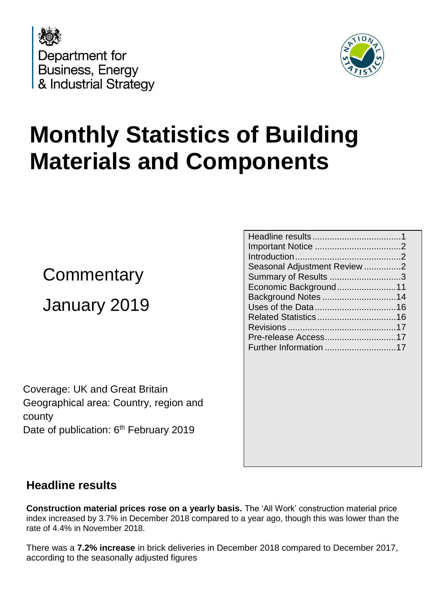



# **Monthly Statistics of Building Materials and Components**

## **Commentary** January 2019

Coverage: UK and Great Britain Geographical area: Country, region and county Date of publication: 6<sup>th</sup> February 2019

| Seasonal Adjustment Review 2 |
|------------------------------|
| Summary of Results 3         |
| Economic Background11        |
|                              |
|                              |
|                              |
|                              |
|                              |
|                              |
|                              |

## <span id="page-0-0"></span>**Headline results**

**Construction material prices rose on a yearly basis.** The 'All Work' construction material price index increased by 3.7% in December 2018 compared to a year ago, though this was lower than the rate of 4.4% in November 2018.

There was a **7.2% increase** in brick deliveries in December 2018 compared to December 2017, according to the seasonally adjusted figures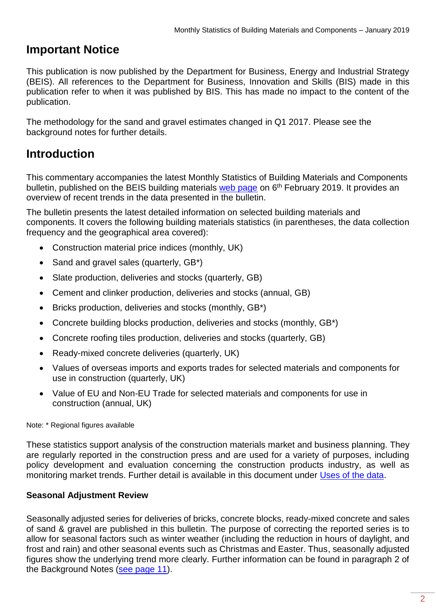## <span id="page-1-0"></span>**Important Notice**

This publication is now published by the Department for Business, Energy and Industrial Strategy (BEIS). All references to the Department for Business, Innovation and Skills (BIS) made in this publication refer to when it was published by BIS. This has made no impact to the content of the publication.

The methodology for the sand and gravel estimates changed in Q1 2017. Please see the background notes for further details.

## <span id="page-1-1"></span>**Introduction**

This commentary accompanies the latest Monthly Statistics of Building Materials and Components bulletin, published on the BEIS building materials [web page](https://www.gov.uk/government/organisations/department-for-business-innovation-skills/series/building-materials-and-components-monthly-statistics-2012) on 6<sup>th</sup> February 2019. It provides an overview of recent trends in the data presented in the bulletin.

The bulletin presents the latest detailed information on selected building materials and components. It covers the following building materials statistics (in parentheses, the data collection frequency and the geographical area covered):

- Construction material price indices (monthly, UK)
- Sand and gravel sales (quarterly, GB\*)
- Slate production, deliveries and stocks (quarterly, GB)
- Cement and clinker production, deliveries and stocks (annual, GB)
- Bricks production, deliveries and stocks (monthly, GB\*)
- Concrete building blocks production, deliveries and stocks (monthly, GB\*)
- Concrete roofing tiles production, deliveries and stocks (quarterly, GB)
- Ready-mixed concrete deliveries (quarterly, UK)
- Values of overseas imports and exports trades for selected materials and components for use in construction (quarterly, UK)
- Value of EU and Non-EU Trade for selected materials and components for use in construction (annual, UK)

Note: \* Regional figures available

These statistics support analysis of the construction materials market and business planning. They are regularly reported in the construction press and are used for a variety of purposes, including policy development and evaluation concerning the construction products industry, as well as monitoring market trends. Further detail is available in this document under [Uses of the data.](#page-15-0)

#### <span id="page-1-2"></span>**Seasonal Adjustment Review**

Seasonally adjusted series for deliveries of bricks, concrete blocks, ready-mixed concrete and sales of sand & gravel are published in this bulletin. The purpose of correcting the reported series is to allow for seasonal factors such as winter weather (including the reduction in hours of daylight, and frost and rain) and other seasonal events such as Christmas and Easter. Thus, seasonally adjusted figures show the underlying trend more clearly. Further information can be found in paragraph 2 of the Background Notes (see page 11).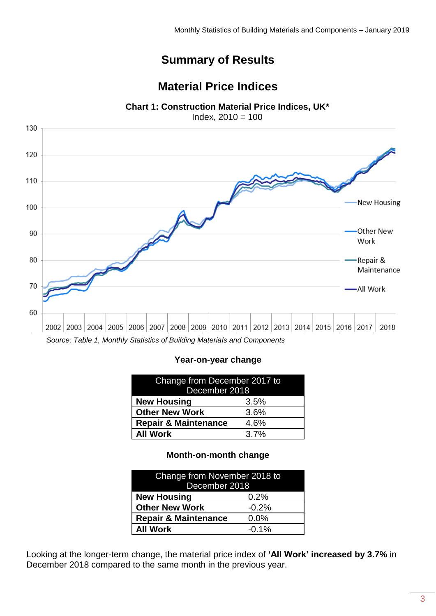## **Summary of Results**

## **Material Price Indices**

**Chart 1: Construction Material Price Indices, UK\***

Index, 2010 = 100

<span id="page-2-0"></span>

#### **Year-on-year change**

| Change from December 2017 to<br>December 2018 |  |  |
|-----------------------------------------------|--|--|
| <b>New Housing</b><br>3.5%                    |  |  |
| <b>Other New Work</b><br>3.6%                 |  |  |
| <b>Repair &amp; Maintenance</b><br>4.6%       |  |  |
| <b>All Work</b><br>3.7%                       |  |  |

#### **Month-on-month change**

| Change from November 2018 to<br>December 2018 |  |  |
|-----------------------------------------------|--|--|
| <b>New Housing</b><br>0.2%                    |  |  |
| <b>Other New Work</b><br>$-0.2%$              |  |  |
| <b>Repair &amp; Maintenance</b><br>0.0%       |  |  |
| <b>All Work</b><br>$-0.1%$                    |  |  |

Looking at the longer-term change, the material price index of **'All Work' increased by 3.7%** in December 2018 compared to the same month in the previous year.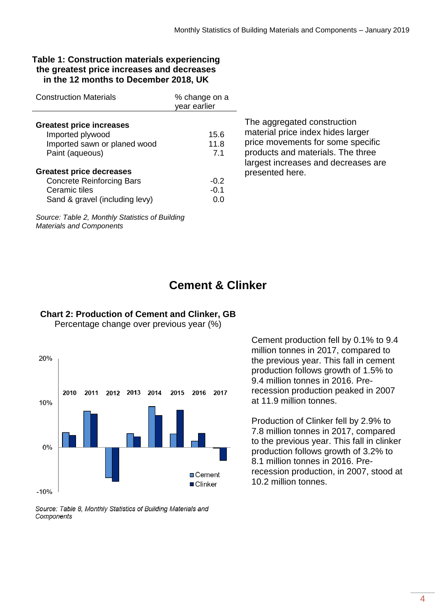#### **Table 1: Construction materials experiencing the greatest price increases and decreases in the 12 months to December 2018, UK**

| <b>Construction Materials</b>                                                                                          | % change on a<br>vear earlier |
|------------------------------------------------------------------------------------------------------------------------|-------------------------------|
| <b>Greatest price increases</b><br>Imported plywood<br>Imported sawn or planed wood<br>Paint (aqueous)                 | 15.6<br>11.8<br>7.1           |
| <b>Greatest price decreases</b><br><b>Concrete Reinforcing Bars</b><br>Ceramic tiles<br>Sand & gravel (including levy) | $-0.2$<br>-0.1<br>O.O         |

The aggregated construction material price index hides larger price movements for some specific products and materials. The three largest increases and decreases are presented here.

*Source: Table 2, Monthly Statistics of Building Materials and Components*

## **Cement & Clinker**



#### **Chart 2: Production of Cement and Clinker, GB**

Percentage change over previous year (%)

Source: Table 8, Monthly Statistics of Building Materials and Components

Cement production fell by 0.1% to 9.4 million tonnes in 2017, compared to the previous year. This fall in cement production follows growth of 1.5% to 9.4 million tonnes in 2016. Prerecession production peaked in 2007 at 11.9 million tonnes.

Production of Clinker fell by 2.9% to 7.8 million tonnes in 2017, compared to the previous year. This fall in clinker production follows growth of 3.2% to 8.1 million tonnes in 2016. Prerecession production, in 2007, stood at 10.2 million tonnes.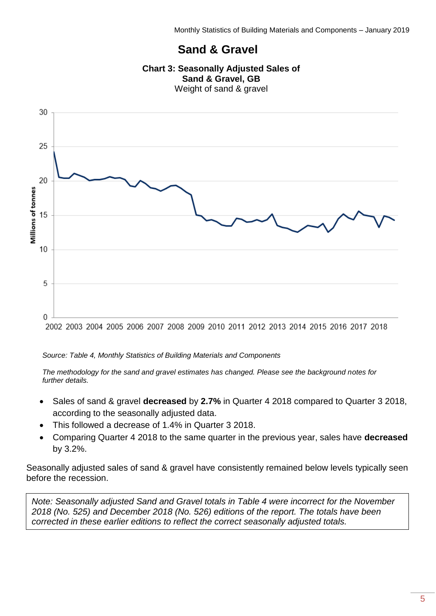## **Sand & Gravel**





#### *Source: Table 4, Monthly Statistics of Building Materials and Components*

*The methodology for the sand and gravel estimates has changed. Please see the background notes for further details.*

- Sales of sand & gravel **decreased** by **2.7%** in Quarter 4 2018 compared to Quarter 3 2018, according to the seasonally adjusted data.
- This followed a decrease of 1.4% in Quarter 3 2018.
- Comparing Quarter 4 2018 to the same quarter in the previous year, sales have **decreased** by 3.2%.

Seasonally adjusted sales of sand & gravel have consistently remained below levels typically seen before the recession.

*Note: Seasonally adjusted Sand and Gravel totals in Table 4 were incorrect for the November 2018 (No. 525) and December 2018 (No. 526) editions of the report. The totals have been corrected in these earlier editions to reflect the correct seasonally adjusted totals.*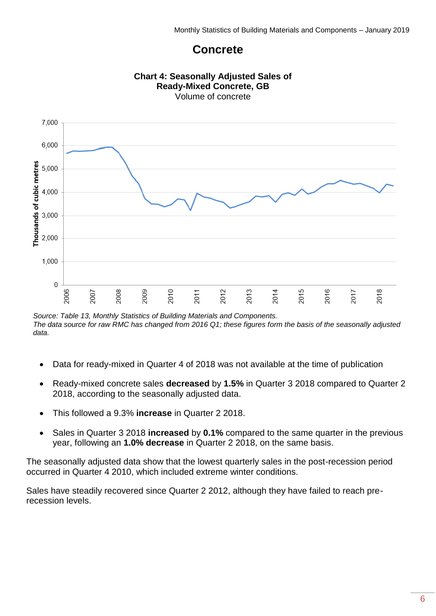## **Concrete**



*Source: Table 13, Monthly Statistics of Building Materials and Components. The data source for raw RMC has changed from 2016 Q1; these figures form the basis of the seasonally adjusted data.*

- Data for ready-mixed in Quarter 4 of 2018 was not available at the time of publication
- Ready-mixed concrete sales **decreased** by **1.5%** in Quarter 3 2018 compared to Quarter 2 2018, according to the seasonally adjusted data.
- This followed a 9.3% **increase** in Quarter 2 2018.
- Sales in Quarter 3 2018 **increased** by **0.1%** compared to the same quarter in the previous year, following an **1.0% decrease** in Quarter 2 2018, on the same basis.

The seasonally adjusted data show that the lowest quarterly sales in the post-recession period occurred in Quarter 4 2010, which included extreme winter conditions.

Sales have steadily recovered since Quarter 2 2012, although they have failed to reach prerecession levels.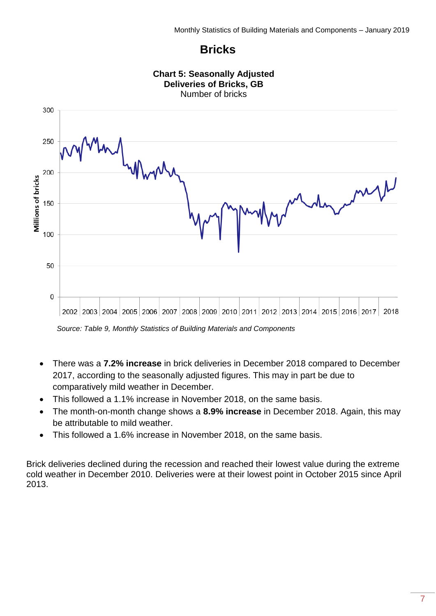## **Bricks**



*Source: Table 9, Monthly Statistics of Building Materials and Components*

- There was a **7.2% increase** in brick deliveries in December 2018 compared to December 2017, according to the seasonally adjusted figures. This may in part be due to comparatively mild weather in December.
- This followed a 1.1% increase in November 2018, on the same basis.
- The month-on-month change shows a **8.9% increase** in December 2018. Again, this may be attributable to mild weather.
- This followed a 1.6% increase in November 2018, on the same basis.

Brick deliveries declined during the recession and reached their lowest value during the extreme cold weather in December 2010. Deliveries were at their lowest point in October 2015 since April 2013.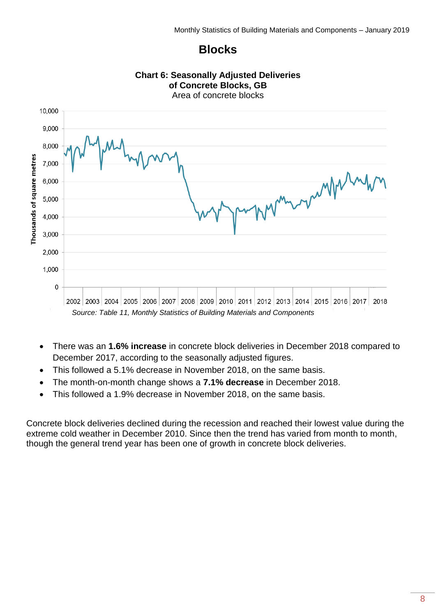#### **Blocks**



- There was an **1.6% increase** in concrete block deliveries in December 2018 compared to December 2017, according to the seasonally adjusted figures.
- This followed a 5.1% decrease in November 2018, on the same basis.
- The month-on-month change shows a **7.1% decrease** in December 2018.
- This followed a 1.9% decrease in November 2018, on the same basis.

Concrete block deliveries declined during the recession and reached their lowest value during the extreme cold weather in December 2010. Since then the trend has varied from month to month, though the general trend year has been one of growth in concrete block deliveries.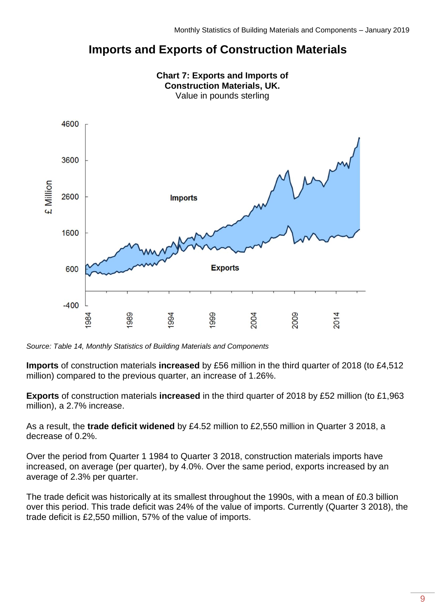## **Imports and Exports of Construction Materials**



**Chart 7: Exports and Imports of** 

*Source: Table 14, Monthly Statistics of Building Materials and Components*

**Imports** of construction materials **increased** by £56 million in the third quarter of 2018 (to £4,512 million) compared to the previous quarter, an increase of 1.26%.

**Exports** of construction materials **increased** in the third quarter of 2018 by £52 million (to £1,963 million), a 2.7% increase.

As a result, the **trade deficit widened** by £4.52 million to £2,550 million in Quarter 3 2018, a decrease of 0.2%.

Over the period from Quarter 1 1984 to Quarter 3 2018, construction materials imports have increased, on average (per quarter), by 4.0%. Over the same period, exports increased by an average of 2.3% per quarter.

The trade deficit was historically at its smallest throughout the 1990s, with a mean of £0.3 billion over this period. This trade deficit was 24% of the value of imports. Currently (Quarter 3 2018), the trade deficit is £2,550 million, 57% of the value of imports.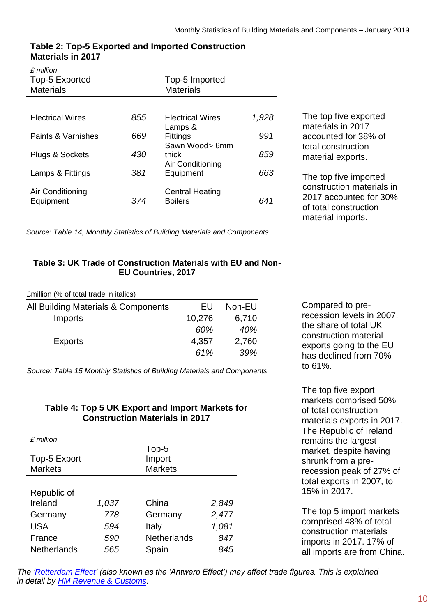| $f$ million<br>Top-5 Exported<br><b>Materials</b> |     | Top-5 Imported<br><b>Materials</b>       |       |
|---------------------------------------------------|-----|------------------------------------------|-------|
|                                                   |     |                                          |       |
| <b>Electrical Wires</b>                           | 855 | <b>Electrical Wires</b><br>Lamps &       | 1,928 |
| Paints & Varnishes                                | 669 | <b>Fittings</b><br>Sawn Wood> 6mm        | 991   |
| <b>Plugs &amp; Sockets</b>                        | 430 | thick<br>Air Conditioning                | 859   |
| Lamps & Fittings                                  | 381 | Equipment                                | 663   |
| Air Conditioning<br>Equipment                     | 374 | <b>Central Heating</b><br><b>Boilers</b> | 641   |

#### **Table 2: Top-5 Exported and Imported Construction Materials in 2017**

*Source: Table 14, Monthly Statistics of Building Materials and Components*

The top five exported materials in 2017 accounted for 38% of total construction material exports.

The top five imported construction materials in 2017 accounted for 30% of total construction material imports.

#### **Table 3: UK Trade of Construction Materials with EU and Non-EU Countries, 2017**

£million (% of total trade in italics)

| All Building Materials & Components | ЕU     | Non-EU |
|-------------------------------------|--------|--------|
| Imports                             | 10,276 | 6,710  |
|                                     | 60%    | 40%    |
| <b>Exports</b>                      | 4,357  | 2,760  |
|                                     | 61%    | 39%    |

*Source: Table 15 Monthly Statistics of Building Materials and Components*

#### **Table 4: Top 5 UK Export and Import Markets for Construction Materials in 2017**

| £ million          |       |                    |       |
|--------------------|-------|--------------------|-------|
|                    |       | Top-5              |       |
| Top-5 Export       |       | Import             |       |
| <b>Markets</b>     |       | <b>Markets</b>     |       |
|                    |       |                    |       |
| Republic of        |       |                    |       |
| Ireland            | 1,037 | China              | 2,849 |
| Germany            | 778   | Germany            | 2,477 |
| <b>USA</b>         | 594   | Italy              | 1,081 |
| France             | 590   | <b>Netherlands</b> | 847   |
| <b>Netherlands</b> | 565   | Spain              | 845   |

Compared to prerecession levels in 2007, the share of total UK construction material exports going to the EU has declined from 70% to 61%.

The top five export markets comprised 50% of total construction materials exports in 2017. The Republic of Ireland remains the largest market, despite having shrunk from a prerecession peak of 27% of total exports in 2007, to 15% in 2017.

The top 5 import markets comprised 48% of total construction materials imports in 2017. 17% of all imports are from China.

*The* '*Rotterdam Effect'* (also known as the 'Antwerp Effect') may affect trade figures. This is explained *in detail by [HM Revenue & Customs.](https://www.uktradeinfo.com/statistics/noneuoverseastrade/aboutoverseastradestatistics/user%20support/edicom_rotterdam_effect_2005.pdf)*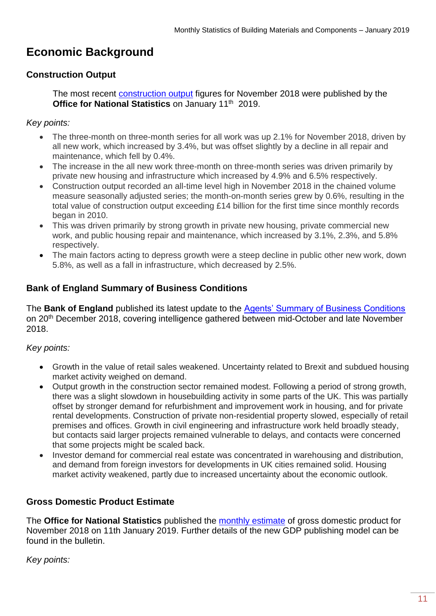## <span id="page-10-0"></span>**Economic Background**

#### **Construction Output**

The most recent [construction output](https://www.ons.gov.uk/businessindustryandtrade/constructionindustry/bulletins/constructionoutputingreatbritain/november2018) figures for November 2018 were published by the Office for National Statistics on January 11<sup>th</sup> 2019.

#### *Key points:*

- The three-month on three-month series for all work was up 2.1% for November 2018, driven by all new work, which increased by 3.4%, but was offset slightly by a decline in all repair and maintenance, which fell by 0.4%.
- The increase in the all new work three-month on three-month series was driven primarily by private new housing and infrastructure which increased by 4.9% and 6.5% respectively.
- Construction output recorded an all-time level high in November 2018 in the chained volume measure seasonally adjusted series; the month-on-month series grew by 0.6%, resulting in the total value of construction output exceeding £14 billion for the first time since monthly records began in 2010.
- This was driven primarily by strong growth in private new housing, private commercial new work, and public housing repair and maintenance, which increased by 3.1%, 2.3%, and 5.8% respectively.
- The main factors acting to depress growth were a steep decline in public other new work, down 5.8%, as well as a fall in infrastructure, which decreased by 2.5%.

#### **Bank of England Summary of Business Conditions**

The **Bank of England** published its latest update to the [Agents' Summary of Business Conditions](https://www.bankofengland.co.uk/agents-summary/2018/december-2018) on 20th December 2018, covering intelligence gathered between mid-October and late November 2018.

#### *Key points:*

- Growth in the value of retail sales weakened. Uncertainty related to Brexit and subdued housing market activity weighed on demand.
- Output growth in the construction sector remained modest. Following a period of strong growth, there was a slight slowdown in housebuilding activity in some parts of the UK. This was partially offset by stronger demand for refurbishment and improvement work in housing, and for private rental developments. Construction of private non-residential property slowed, especially of retail premises and offices. Growth in civil engineering and infrastructure work held broadly steady, but contacts said larger projects remained vulnerable to delays, and contacts were concerned that some projects might be scaled back.
- Investor demand for commercial real estate was concentrated in warehousing and distribution, and demand from foreign investors for developments in UK cities remained solid. Housing market activity weakened, partly due to increased uncertainty about the economic outlook.

#### **Gross Domestic Product Estimate**

The **Office for National Statistics** published the [monthly estimate](https://www.ons.gov.uk/economy/grossdomesticproductgdp/bulletins/gdpmonthlyestimateuk/november2018) of gross domestic product for November 2018 on 11th January 2019. Further details of the new GDP publishing model can be found in the bulletin.

*Key points:*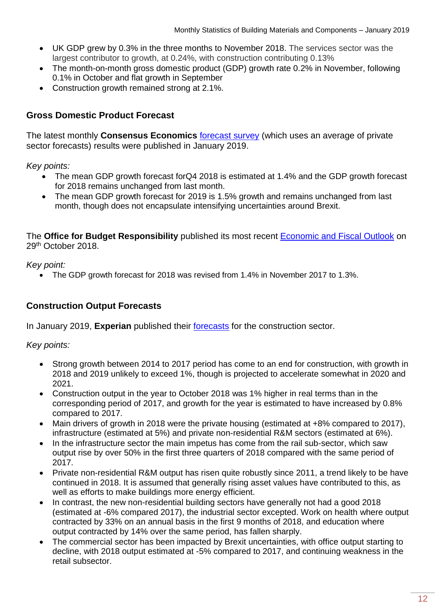- UK GDP grew by 0.3% in the three months to November 2018. The services sector was the largest contributor to growth, at 0.24%, with construction contributing 0.13%
- The month-on-month gross domestic product (GDP) growth rate 0.2% in November, following 0.1% in October and flat growth in September
- Construction growth remained strong at 2.1%.

#### **Gross Domestic Product Forecast**

The latest monthly **Consensus Economics** [forecast survey](http://www.consensuseconomics.com/download/G7_Economic_Forecasts.htm) (which uses an average of private sector forecasts) results were published in January 2019.

*Key points:*

- The mean GDP growth forecast forQ4 2018 is estimated at 1.4% and the GDP growth forecast for 2018 remains unchanged from last month.
- The mean GDP growth forecast for 2019 is 1.5% growth and remains unchanged from last month, though does not encapsulate intensifying uncertainties around Brexit.

The **Office for Budget Responsibility** published its most recent [Economic and Fiscal Outlook](https://obr.uk/report/economic-and-fiscal-outlook/) on 29th October 2018.

*Key point:*

• The GDP growth forecast for 2018 was revised from 1.4% in November 2017 to 1.3%.

#### **Construction Output Forecasts**

In January 2019, **Experian** published their [forecasts](http://www.experian.co.uk/economics/economic-forecasts/uk-construction-forecast.html) for the construction sector.

*Key points:*

- Strong growth between 2014 to 2017 period has come to an end for construction, with growth in 2018 and 2019 unlikely to exceed 1%, though is projected to accelerate somewhat in 2020 and 2021.
- Construction output in the year to October 2018 was 1% higher in real terms than in the corresponding period of 2017, and growth for the year is estimated to have increased by 0.8% compared to 2017.
- Main drivers of growth in 2018 were the private housing (estimated at +8% compared to 2017), infrastructure (estimated at 5%) and private non-residential R&M sectors (estimated at 6%).
- In the infrastructure sector the main impetus has come from the rail sub-sector, which saw output rise by over 50% in the first three quarters of 2018 compared with the same period of 2017.
- Private non-residential R&M output has risen quite robustly since 2011, a trend likely to be have continued in 2018. It is assumed that generally rising asset values have contributed to this, as well as efforts to make buildings more energy efficient.
- In contrast, the new non-residential building sectors have generally not had a good 2018 (estimated at -6% compared 2017), the industrial sector excepted. Work on health where output contracted by 33% on an annual basis in the first 9 months of 2018, and education where output contracted by 14% over the same period, has fallen sharply.
- The commercial sector has been impacted by Brexit uncertainties, with office output starting to decline, with 2018 output estimated at -5% compared to 2017, and continuing weakness in the retail subsector.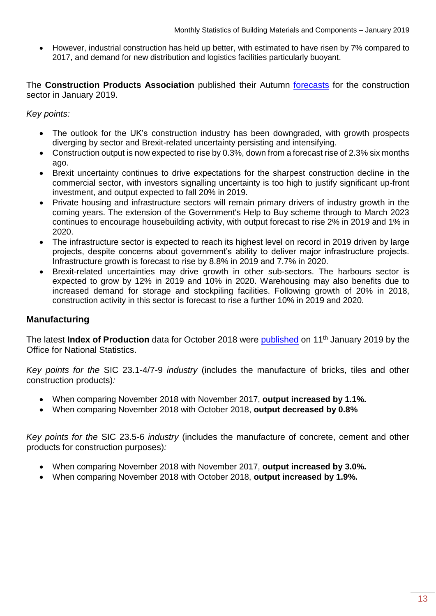• However, industrial construction has held up better, with estimated to have risen by 7% compared to 2017, and demand for new distribution and logistics facilities particularly buoyant.

The **Construction Products Association** published their Autumn [forecasts](https://www.constructionproducts.org.uk/news-media-events/news/2019/january/uk-construction-growth-downgraded-again-as-uncertainty-intensifies/) for the construction sector in January 2019.

*Key points:*

- The outlook for the UK's construction industry has been downgraded, with growth prospects diverging by sector and Brexit-related uncertainty persisting and intensifying.
- Construction output is now expected to rise by 0.3%, down from a forecast rise of 2.3% six months ago.
- Brexit uncertainty continues to drive expectations for the sharpest construction decline in the commercial sector, with investors signalling uncertainty is too high to justify significant up-front investment, and output expected to fall 20% in 2019.
- Private housing and infrastructure sectors will remain primary drivers of industry growth in the coming years. The extension of the Government's Help to Buy scheme through to March 2023 continues to encourage housebuilding activity, with output forecast to rise 2% in 2019 and 1% in 2020.
- The infrastructure sector is expected to reach its highest level on record in 2019 driven by large projects, despite concerns about government's ability to deliver major infrastructure projects. Infrastructure growth is forecast to rise by 8.8% in 2019 and 7.7% in 2020.
- Brexit-related uncertainties may drive growth in other sub-sectors. The harbours sector is expected to grow by 12% in 2019 and 10% in 2020. Warehousing may also benefits due to increased demand for storage and stockpiling facilities. Following growth of 20% in 2018, construction activity in this sector is forecast to rise a further 10% in 2019 and 2020.

#### **Manufacturing**

The latest **Index of Production** data for October 2018 were **published** on 11<sup>th</sup> January 2019 by the Office for National Statistics.

*Key points for the* SIC 23.1-4/7-9 *industry* (includes the manufacture of bricks, tiles and other construction products)*:*

- When comparing November 2018 with November 2017, **output increased by 1.1%.**
- When comparing November 2018 with October 2018, **output decreased by 0.8%**

*Key points for the* SIC 23.5-6 *industry* (includes the manufacture of concrete, cement and other products for construction purposes)*:*

- When comparing November 2018 with November 2017, **output increased by 3.0%.**
- When comparing November 2018 with October 2018, **output increased by 1.9%.**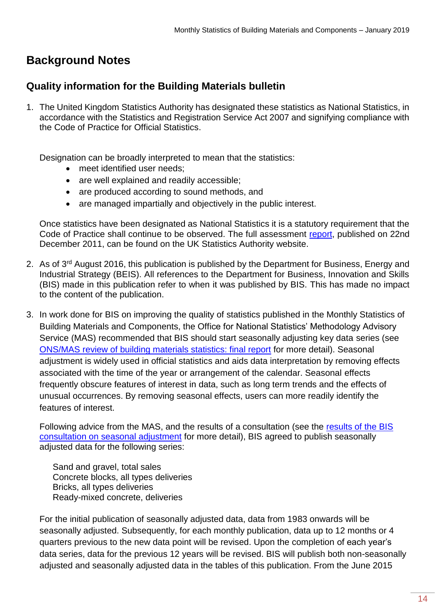## <span id="page-13-0"></span>**Background Notes**

### **Quality information for the Building Materials bulletin**

1. The United Kingdom Statistics Authority has designated these statistics as National Statistics, in accordance with the Statistics and Registration Service Act 2007 and signifying compliance with the Code of Practice for Official Statistics.

Designation can be broadly interpreted to mean that the statistics:

- meet identified user needs;
- are well explained and readily accessible;
- are produced according to sound methods, and
- are managed impartially and objectively in the public interest.

Once statistics have been designated as National Statistics it is a statutory requirement that the Code of Practice shall continue to be observed. The full assessment [report,](http://www.statisticsauthority.gov.uk/assessment/assessment/assessment-reports/assessment-report-168---statistics-on-building-materials-and-components.pdf) published on 22nd December 2011, can be found on the UK Statistics Authority website.

- 2. As of 3<sup>rd</sup> August 2016, this publication is published by the Department for Business, Energy and Industrial Strategy (BEIS). All references to the Department for Business, Innovation and Skills (BIS) made in this publication refer to when it was published by BIS. This has made no impact to the content of the publication.
- 3. In work done for BIS on improving the quality of statistics published in the Monthly Statistics of Building Materials and Components, the Office for National Statistics' Methodology Advisory Service (MAS) recommended that BIS should start seasonally adjusting key data series (see [ONS/MAS review of building materials statistics: final report](https://www.gov.uk/government/publications/ons-mas-review-of-building-materials-statistics) for more detail). Seasonal adjustment is widely used in official statistics and aids data interpretation by removing effects associated with the time of the year or arrangement of the calendar. Seasonal effects frequently obscure features of interest in data, such as long term trends and the effects of unusual occurrences. By removing seasonal effects, users can more readily identify the features of interest.

Following advice from the MAS, and the results of a consultation (see the [results of the BIS](https://www.gov.uk/government/consultations/building-materials-and-components-monthly-statistics-seasonal-data-adjustment)  [consultation on seasonal adjustment](https://www.gov.uk/government/consultations/building-materials-and-components-monthly-statistics-seasonal-data-adjustment) for more detail), BIS agreed to publish seasonally adjusted data for the following series:

Sand and gravel, total sales Concrete blocks, all types deliveries Bricks, all types deliveries Ready-mixed concrete, deliveries

For the initial publication of seasonally adjusted data, data from 1983 onwards will be seasonally adjusted. Subsequently, for each monthly publication, data up to 12 months or 4 quarters previous to the new data point will be revised. Upon the completion of each year's data series, data for the previous 12 years will be revised. BIS will publish both non-seasonally adjusted and seasonally adjusted data in the tables of this publication. From the June 2015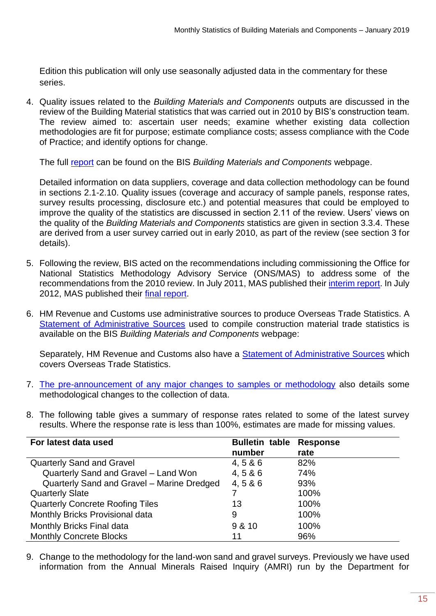Edition this publication will only use seasonally adjusted data in the commentary for these series.

4. Quality issues related to the *Building Materials and Components* outputs are discussed in the review of the Building Material statistics that was carried out in 2010 by BIS's construction team. The review aimed to: ascertain user needs; examine whether existing data collection methodologies are fit for purpose; estimate compliance costs; assess compliance with the Code of Practice; and identify options for change.

The full [report](https://www.gov.uk/government/publications/building-materials-statistics-review-final-report) can be found on the BIS *Building Materials and Components* webpage.

Detailed information on data suppliers, coverage and data collection methodology can be found in sections 2.1-2.10. Quality issues (coverage and accuracy of sample panels, response rates, survey results processing, disclosure etc.) and potential measures that could be employed to improve the quality of the statistics are discussed in section 2.11 of the review. Users' views on the quality of the *Building Materials and Components* statistics are given in section 3.3.4. These are derived from a user survey carried out in early 2010, as part of the review (see section 3 for details).

- 5. Following the review, BIS acted on the recommendations including commissioning the Office for National Statistics Methodology Advisory Service (ONS/MAS) to address some of the recommendations from the 2010 review. In July 2011, MAS published their [interim report.](https://www.gov.uk/government/publications/ons-mas-review-of-building-materials-statistics) In July 2012, MAS published their [final report.](https://www.gov.uk/government/publications/ons-mas-review-of-building-materials-statistics)
- 6. HM Revenue and Customs use administrative sources to produce Overseas Trade Statistics. A [Statement of Administrative Sources](https://www.gov.uk/government/publications/building-materials-statistics-administrative-sources) used to compile construction material trade statistics is available on the BIS *Building Materials and Components* webpage:

Separately, HM Revenue and Customs also have a [Statement of Administrative Sources](http://www.hmrc.gov.uk/statistics/code-of-practice/cop-admin-sources.xls) which covers Overseas Trade Statistics.

- 7. [The pre-announcement of any major changes to samples or methodology](https://www.gov.uk/government/publications/amendments-to-building-materials-and-components-monthly-statistics) also details some methodological changes to the collection of data.
- 8. The following table gives a summary of response rates related to some of the latest survey results. Where the response rate is less than 100%, estimates are made for missing values.

| For latest data used                       | <b>Bulletin table</b> | <b>Response</b> |
|--------------------------------------------|-----------------------|-----------------|
|                                            | number                | rate            |
| <b>Quarterly Sand and Gravel</b>           | 4, 586                | 82%             |
| Quarterly Sand and Gravel - Land Won       | 4, 586                | 74%             |
| Quarterly Sand and Gravel - Marine Dredged | 4, 586                | 93%             |
| <b>Quarterly Slate</b>                     |                       | 100%            |
| <b>Quarterly Concrete Roofing Tiles</b>    | 13                    | 100%            |
| Monthly Bricks Provisional data            | 9                     | 100%            |
| Monthly Bricks Final data                  | 9 & 10                | 100%            |
| <b>Monthly Concrete Blocks</b>             | 11                    | 96%             |

9. Change to the methodology for the land-won sand and gravel surveys. Previously we have used information from the Annual Minerals Raised Inquiry (AMRI) run by the Department for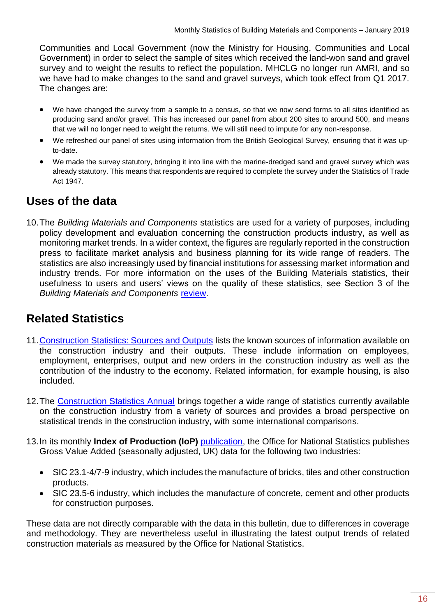Communities and Local Government (now the Ministry for Housing, Communities and Local Government) in order to select the sample of sites which received the land-won sand and gravel survey and to weight the results to reflect the population. MHCLG no longer run AMRI, and so we have had to make changes to the sand and gravel surveys, which took effect from Q1 2017. The changes are:

- We have changed the survey from a sample to a census, so that we now send forms to all sites identified as producing sand and/or gravel. This has increased our panel from about 200 sites to around 500, and means that we will no longer need to weight the returns. We will still need to impute for any non-response.
- We refreshed our panel of sites using information from the British Geological Survey, ensuring that it was upto-date.
- We made the survey statutory, bringing it into line with the marine-dredged sand and gravel survey which was already statutory. This means that respondents are required to complete the survey under the Statistics of Trade Act 1947.

## <span id="page-15-0"></span>**Uses of the data**

10.The *Building Materials and Components* statistics are used for a variety of purposes, including policy development and evaluation concerning the construction products industry, as well as monitoring market trends. In a wider context, the figures are regularly reported in the construction press to facilitate market analysis and business planning for its wide range of readers. The statistics are also increasingly used by financial institutions for assessing market information and industry trends. For more information on the uses of the Building Materials statistics, their usefulness to users and users' views on the quality of these statistics, see Section 3 of the *Building Materials and Components* [review.](https://www.gov.uk/government/publications/building-materials-statistics-review-final-report)

## <span id="page-15-1"></span>**Related Statistics**

- 11[.Construction Statistics: Sources and Outputs](http://www.ons.gov.uk/ons/rel/construction/construction-statistics/construction-statistics--sources-and-outputs/construction-stats--sources-and-outputs.pdf) lists the known sources of information available on the construction industry and their outputs. These include information on employees, employment, enterprises, output and new orders in the construction industry as well as the contribution of the industry to the economy. Related information, for example housing, is also included.
- 12.The [Construction Statistics Annual](http://www.ons.gov.uk/ons/publications/all-releases.html?definition=tcm%3A77-21528) brings together a wide range of statistics currently available on the construction industry from a variety of sources and provides a broad perspective on statistical trends in the construction industry, with some international comparisons.
- 13.In its monthly **Index of Production (IoP)** [publication,](http://www.ons.gov.uk/ons/rel/iop/index-of-production/index.html) the Office for National Statistics publishes Gross Value Added (seasonally adjusted, UK) data for the following two industries:
	- SIC 23.1-4/7-9 industry, which includes the manufacture of bricks, tiles and other construction products.
	- SIC 23.5-6 industry, which includes the manufacture of concrete, cement and other products for construction purposes.

These data are not directly comparable with the data in this bulletin, due to differences in coverage and methodology. They are nevertheless useful in illustrating the latest output trends of related construction materials as measured by the Office for National Statistics.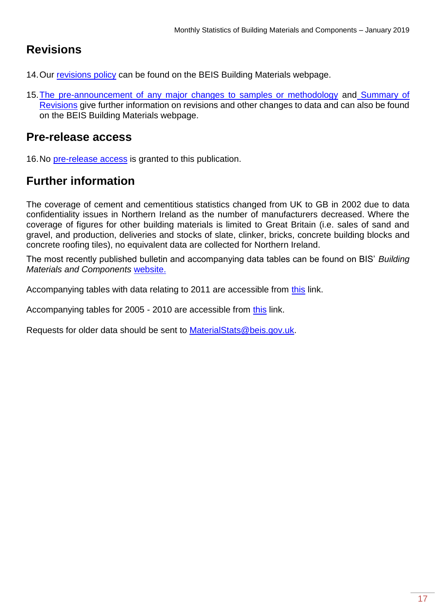## <span id="page-16-0"></span>**Revisions**

- 14. Our [revisions policy](https://www.gov.uk/government/publications/building-materials-statistics-revisions-policy) can be found on the BEIS Building Materials webpage.
- 15. The pre-announcement of any major changes to samples or methodology and Summary of [Revisions](https://www.gov.uk/government/publications/revisions-to-building-materials-statistics-since-december-2011-summary) give further information on revisions and other changes to data and can also be found on the BEIS Building Materials webpage.

## <span id="page-16-1"></span>**Pre-release access**

16.No [pre-release access](https://www.statisticsauthority.gov.uk/about-the-authority/uk-statistical-system/legislation/pre-release-access/) is granted to this publication.

## <span id="page-16-2"></span>**Further information**

The coverage of cement and cementitious statistics changed from UK to GB in 2002 due to data confidentiality issues in Northern Ireland as the number of manufacturers decreased. Where the coverage of figures for other building materials is limited to Great Britain (i.e. sales of sand and gravel, and production, deliveries and stocks of slate, clinker, bricks, concrete building blocks and concrete roofing tiles), no equivalent data are collected for Northern Ireland.

The most recently published bulletin and accompanying data tables can be found on BIS' *Building Materials and Components* [website.](https://www.gov.uk/government/organisations/department-for-business-innovation-skills/series/building-materials-and-components-monthly-statistics-2012)

Accompanying tables with data relating to 2011 are accessible from [this](https://www.gov.uk/government/statistical-data-sets/building-materials-and-components-statistics-december-2012) link.

Accompanying tables for 2005 - 2010 are accessible from [this](http://webarchive.nationalarchives.gov.uk/20110920151722/http:/stats.bis.gov.uk/construction/building/archive.htm) link.

Requests for older data should be sent to [MaterialStats@beis.gov.uk.](mailto:MaterialStats@beis.gov.uk)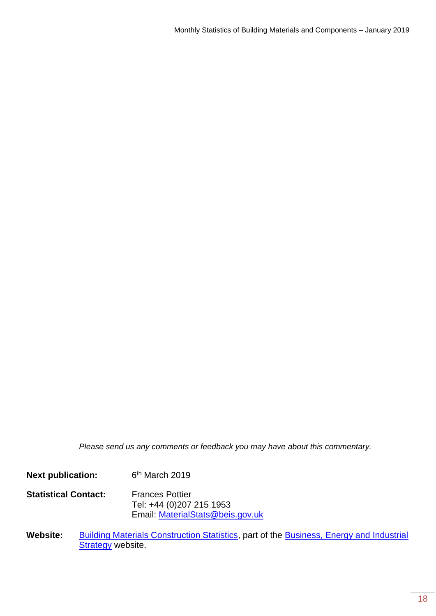*Please send us any comments or feedback you may have about this commentary.*

**Next publication:**  $6<sup>th</sup>$  March 2019

**Statistical Contact:** Frances Pottier Tel: +44 (0)207 215 1953 Email: [MaterialStats@beis.gov.uk](mailto:MaterialStats@beis.gov.uk)

Website: [Building Materials Construction Statistics,](https://www.gov.uk/government/collections/building-materials-and-components-monthly-statistics-2012) part of the Business, Energy and Industrial **[Strategy](https://www.gov.uk/government/organisations/department-for-business-energy-and-industrial-strategy) website.**